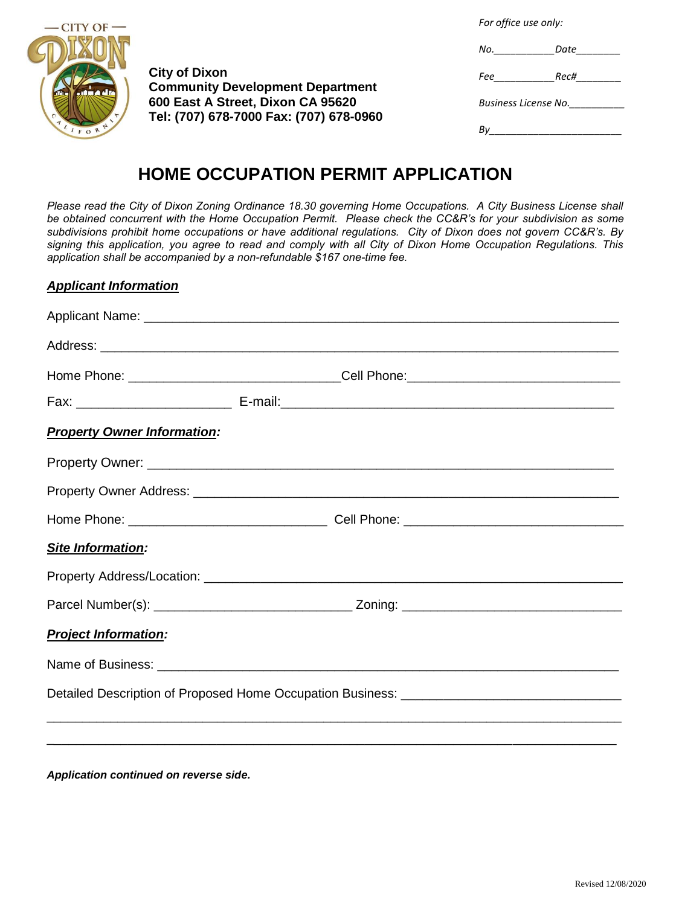*For office use only:*

| <b>CITY OF</b> |
|----------------|
|                |
| غاك            |
| $\circ$        |
| IFORN          |

**City of Dixon Community Development Department 600 East A Street, Dixon CA 95620 Tel: (707) 678-7000 Fax: (707) 678-0960**

| No.                  | Date |  |
|----------------------|------|--|
| Fee                  | Rec# |  |
| Business License No. |      |  |
|                      |      |  |

## **HOME OCCUPATION PERMIT APPLICATION**

*Please read the City of Dixon Zoning Ordinance 18.30 governing Home Occupations. A City Business License shall be obtained concurrent with the Home Occupation Permit. Please check the CC&R's for your subdivision as some subdivisions prohibit home occupations or have additional regulations. City of Dixon does not govern CC&R's. By signing this application, you agree to read and comply with all City of Dixon Home Occupation Regulations. This application shall be accompanied by a non-refundable \$167 one-time fee.* 

## *Applicant Information*

|                                    | Home Phone: __________________________________Cell Phone:_______________________ |  |
|------------------------------------|----------------------------------------------------------------------------------|--|
|                                    |                                                                                  |  |
| <b>Property Owner Information:</b> |                                                                                  |  |
|                                    |                                                                                  |  |
|                                    |                                                                                  |  |
|                                    |                                                                                  |  |
| Site Information:                  |                                                                                  |  |
|                                    |                                                                                  |  |
|                                    |                                                                                  |  |
| <b>Project Information:</b>        |                                                                                  |  |
|                                    |                                                                                  |  |
|                                    |                                                                                  |  |
|                                    |                                                                                  |  |
|                                    |                                                                                  |  |

*Application continued on reverse side.*